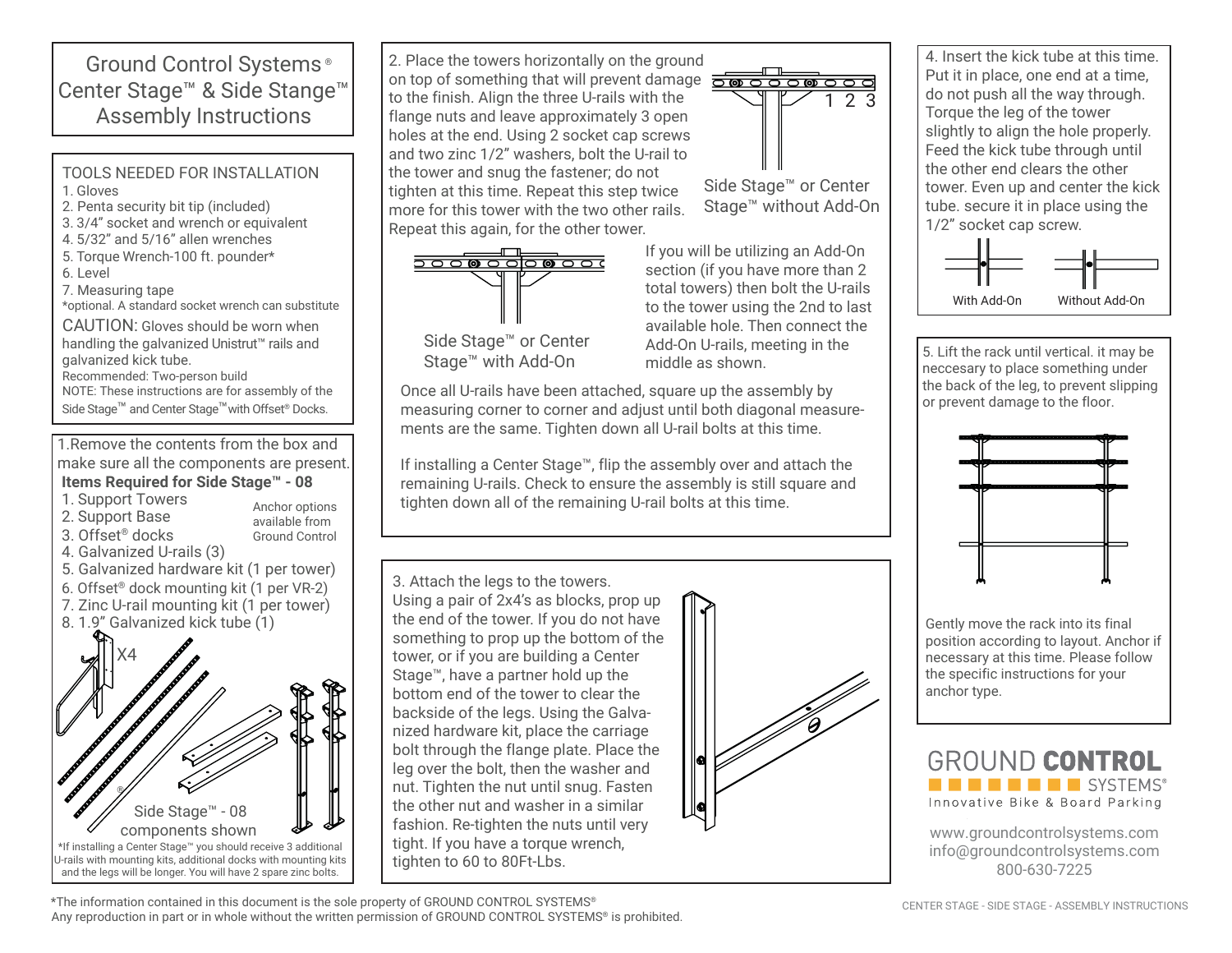Ground Control Systems ® Center Stage™ & Side Stange™ Assembly Instructions

TOOLS NEEDED FOR INSTALLATION 1 . Gloves 2. Penta security bit tip (included)

- 3. 3/4" socket and wrench or equivalent
- 4. 5/32" and 5/16" allen wrenches
- 5. Torque Wrench-100 ft. pounder\*
- 6. Level
- 7. Measuring tape

\*optional. A standard socket wrench can substitute

CAUTION: Gloves should be worn when handling the galvanized Unistrut™ rails and galvanized kick tube.

Recommended: Two-person build NOTE: These instructions are for assembly of the

Side Stage<sup>™</sup> and Center Stage<sup>™</sup> with Offset<sup>®</sup> Docks.

1.Remove the contents from the box and make sure all the components are present. **Items Required for Side Stage™ - 08**

1. Support Towers

3. Offset® docks

- 2. Support Base
- Anchor options available from Ground Control
- 4. Galvanized U-rails (3)
- 5. Galvanized hardware kit (1 per tower)
- 6. Offset® dock mounting kit (1 per VR-2)
- 7. Zinc U-rail mounting kit (1 per tower)
- 8. 1.9" Galvanized kick tube (1)



Side Stage™ or Center Stage™ without Add-On 2. Place the towers horizontally on the ground on top of something that will prevent damage to the finish. Align the three U-rails with the flange nuts and leave approximately 3 open holes at the end. Using 2 socket cap screws and two zinc 1/2" washers, bolt the U-rail to the tower and snug the fastener; do not tighten at this time. Repeat this step twice

more for this tower with the two other rails. Repeat this again, for the other tower.



Stage™ with Add-On

If you will be utilizing an Add-On section (if you have more than 2 total towers) then bolt the U-rails to the tower using the 2nd to last available hole. Then connect the Add-On U-rails, meeting in the middle as shown.

2 3

Once all U-rails have been attached, square up the assembly by measuring corner to corner and adjust until both diagonal measurements are the same. Tighten down all U-rail bolts at this time.

If installing a Center Stage™, flip the assembly over and attach the remaining U-rails. Check to ensure the assembly is still square and tighten down all of the remaining U-rail bolts at this time.

3. Attach the legs to the towers. Using a pair of 2x4's as blocks, prop up the end of the tower. If you do not have something to prop up the bottom of the tower, or if you are building a Center Stage™, have a partner hold up the bottom end of the tower to clear the backside of the legs. Using the Galvanized hardware kit, place the carriage bolt through the flange plate. Place the leg over the bolt, then the washer and nut. Tighten the nut until snug. Fasten the other nut and washer in a similar fashion. Re-tighten the nuts until very tight. If you have a torque wrench, tighten to 60 to 80Ft-Lbs.



4. Insert the kick tube at this time. Put it in place, one end at a time, do not push all the way through. Torque the leg of the tower slightly to align the hole properly. Feed the kick tube through until the other end clears the other tower. Even up and center the kick tube. secure it in place using the 1/2" socket cap screw.



5. Lift the rack until vertical. it may be neccesary to place something under the back of the leg, to prevent slipping or prevent damage to the floor.



Gently move the rack into its final position according to layout. Anchor if necessary at this time. Please follow the specific instructions for your anchor type.



www.groundcontrolsystems.com info@groundcontrolsystems.com 800-630-7225